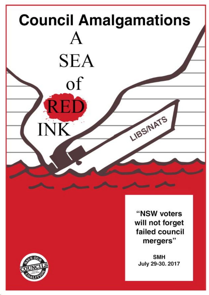



"NSW voters will not forget failed council mergers"

**SMH** July 29-30. 2017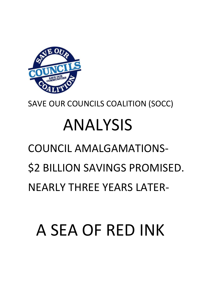## A SEA OF RED INK

## COUNCIL AMALGAMATIONS- \$2 BILLION SAVINGS PROMISED. NEARLY THREE YEARS LATER-

# ANALYSIS

SAVE OUR COUNCILS COALITION (SOCC)

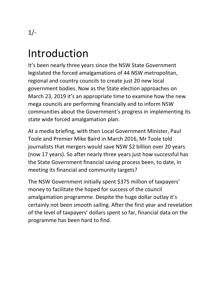### Introduction

It's been nearly three years since the NSW State Government legislated the forced amalgamations of 44 NSW metropolitan, regional and country councils to create just 20 new local government bodies. Now as the State election approaches on March 23, 2019 it's an appropriate time to examine how the new mega councils are performing financially and to inform NSW communities about the Government's progress in implementing its state wide forced amalgamation plan.

At a media briefing, with then Local Government Minister, Paul Toole and Premier Mike Baird in March 2016, Mr Toole told journalists that mergers would save NSW \$2 billion over 20 years (now 17 years). So after nearly three years just how successful has the State Government financial saving process been, to date, in meeting its financial and community targets?

The NSW Government initially spent \$375 million of taxpayers' money to facilitate the hoped for success of the council amalgamation programme. Despite the huge dollar outlay it's certainly not been smooth sailing. After the first year and revelation of the level of taxpayers' dollars spent so far, financial data on the programme has been hard to find.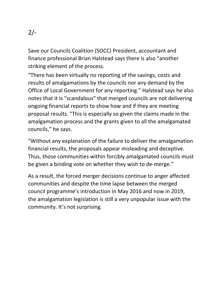Save our Councils Coalition (SOCC) President, accountant and finance professional Brian Halstead says there is also "another striking element of the process.

"There has been virtually no reporting of the savings, costs and results of amalgamations by the councils nor any demand by the Office of Local Government for any reporting." Halstead says he also notes that it is "scandalous" that merged councils are not delivering ongoing financial reports to show how and if they are meeting proposal results. "This is especially so given the claims made in the amalgamation process and the grants given to all the amalgamated councils," he says.

"Without any explanation of the failure to deliver the amalgamation financial results, the proposals appear misleading and deceptive. Thus, those communities within forcibly amalgamated councils must be given a binding vote on whether they wish to de-merge."

As a result, the forced merger decisions continue to anger affected communities and despite the time lapse between the merged council programme's introduction in May 2016 and now in 2019, the amalgamation legislation is still a very unpopular issue with the community. It's not surprising.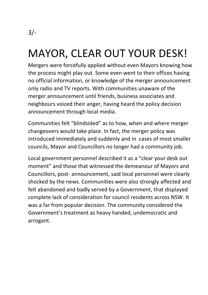### MAYOR, CLEAR OUT YOUR DESK!

Mergers were forcefully applied without even Mayors knowing how the process might play out. Some even went to their offices having no official information, or knowledge of the merger announcement only radio and TV reports. With communities unaware of the merger announcement until friends, business associates and neighbours voiced their anger, having heard the policy decision announcement through local media.

Communities felt "blindsided" as to how, when and where merger changeovers would take place. In fact, the merger policy was introduced immediately and suddenly and in cases of most smaller councils, Mayor and Councillors no longer had a community job.

Local government personnel described it as a "clear your desk out moment" and those that witnessed the demeanour of Mayors and Councillors, post- announcement, said local personnel were clearly shocked by the news. Communities were also strongly affected and felt abandoned and badly served by a Government, that displayed complete lack of consideration for council residents across NSW. It was a far from popular decision. The community considered the Government's treatment as heavy handed, undemocratic and arrogant.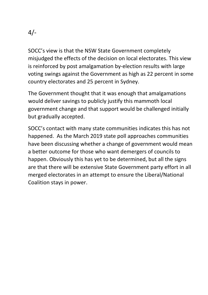$4/$ 

SOCC's view is that the NSW State Government completely misjudged the effects of the decision on local electorates. This view is reinforced by post amalgamation by-election results with large voting swings against the Government as high as 22 percent in some country electorates and 25 percent in Sydney.

The Government thought that it was enough that amalgamations would deliver savings to publicly justify this mammoth local government change and that support would be challenged initially but gradually accepted.

SOCC's contact with many state communities indicates this has not happened. As the March 2019 state poll approaches communities have been discussing whether a change of government would mean a better outcome for those who want demergers of councils to happen. Obviously this has yet to be determined, but all the signs are that there will be extensive State Government party effort in all merged electorates in an attempt to ensure the Liberal/National Coalition stays in power.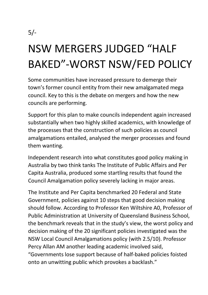### NSW MERGERS JUDGED "HALF BAKED"-WORST NSW/FED POLICY

Some communities have increased pressure to demerge their town's former council entity from their new amalgamated mega council. Key to this is the debate on mergers and how the new councils are performing.

Support for this plan to make councils independent again increased substantially when two highly skilled academics, with knowledge of the processes that the construction of such policies as council amalgamations entailed, analysed the merger processes and found them wanting.

Independent research into what constitutes good policy making in Australia by two think tanks The Institute of Public Affairs and Per Capita Australia, produced some startling results that found the Council Amalgamation policy severely lacking in major areas.

The Institute and Per Capita benchmarked 20 Federal and State Government, policies against 10 steps that good decision making should follow. According to Professor Ken Wiltshire A0, Professor of Public Administration at University of Queensland Business School, the benchmark reveals that in the study's view, the worst policy and decision making of the 20 significant policies investigated was the NSW Local Council Amalgamations policy (with 2.5/10). Professor Percy Allan AM another leading academic involved said, "Governments lose support because of half-baked policies foisted onto an unwitting public which provokes a backlash."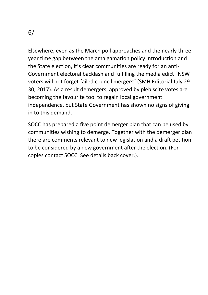Elsewhere, even as the March poll approaches and the nearly three year time gap between the amalgamation policy introduction and the State election, it's clear communities are ready for an anti-Government electoral backlash and fulfilling the media edict "NSW voters will not forget failed council mergers" (SMH Editorial July 29- 30, 2017). As a result demergers, approved by plebiscite votes are becoming the favourite tool to regain local government independence, but State Government has shown no signs of giving in to this demand.

SOCC has prepared a five point demerger plan that can be used by communities wishing to demerge. Together with the demerger plan there are comments relevant to new legislation and a draft petition to be considered by a new government after the election. (For copies contact SOCC. See details back cover.).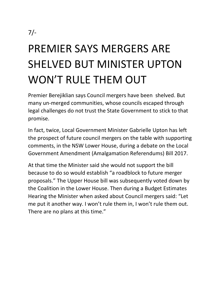### PREMIER SAYS MERGERS ARE SHELVED BUT MINISTER UPTON WON'T RULE THEM OUT

Premier Berejiklian says Council mergers have been shelved. But many un-merged communities, whose councils escaped through legal challenges do not trust the State Government to stick to that promise.

In fact, twice, Local Government Minister Gabrielle Upton has left the prospect of future council mergers on the table with supporting comments, in the NSW Lower House, during a debate on the Local Government Amendment (Amalgamation Referendums) Bill 2017.

At that time the Minister said she would not support the bill because to do so would establish "a roadblock to future merger proposals." The Upper House bill was subsequently voted down by the Coalition in the Lower House. Then during a Budget Estimates Hearing the Minister when asked about Council mergers said: "Let me put it another way. I won't rule them in, I won't rule them out. There are no plans at this time."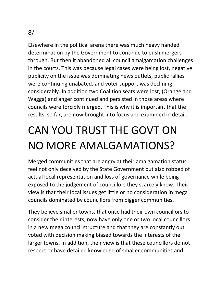Elsewhere in the political arena there was much heavy handed determination by the Government to continue to push mergers through. But then it abandoned all council amalgamation challenges in the courts. This was because legal cases were being lost, negative publicity on the issue was dominating news outlets, public rallies were continuing unabated, and voter support was declining considerably. In addition two Coalition seats were lost, (Orange and Wagga) and anger continued and persisted in those areas where councils were forcibly merged. This is why it is important that the results, so far, are now brought into focus and examined in detail.

### CAN YOU TRUST THE GOVT ON NO MORE AMALGAMATIONS?

Merged communities that are angry at their amalgamation status feel not only deceived by the State Government but also robbed of actual local representation and loss of governance while being exposed to the judgement of councillors they scarcely know. Their view is that their local issues get little or no consideration in mega councils dominated by councillors from bigger communities.

They believe smaller towns, that once had their own councillors to consider their interests, now have only one or two local councillors in a new mega council structure and that they are constantly out voted with decision making biased towards the interests of the larger towns. In addition, their view is that these councillors do not respect or have detailed knowledge of smaller communities and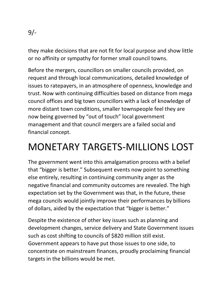they make decisions that are not fit for local purpose and show little or no affinity or sympathy for former small council towns.

Before the mergers, councillors on smaller councils provided, on request and through local communications, detailed knowledge of issues to ratepayers, in an atmosphere of openness, knowledge and trust. Now with continuing difficulties based on distance from mega council offices and big town councillors with a lack of knowledge of more distant town conditions, smaller townspeople feel they are now being governed by "out of touch" local government management and that council mergers are a failed social and financial concept.

### MONETARY TARGETS-MILLIONS LOST

The government went into this amalgamation process with a belief that "bigger is better." Subsequent events now point to something else entirely, resulting in continuing community anger as the negative financial and community outcomes are revealed. The high expectation set by the Government was that, in the future, these mega councils would jointly improve their performances by billions of dollars, aided by the expectation that "bigger is better."

Despite the existence of other key issues such as planning and development changes, service delivery and State Government issues such as cost shifting to councils of \$820 million still exist. Government appears to have put those issues to one side, to concentrate on mainstream finances, proudly proclaiming financial targets in the billions would be met.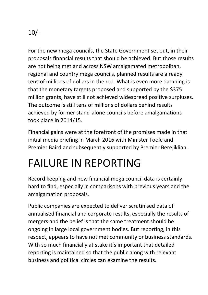For the new mega councils, the State Government set out, in their proposals financial results that should be achieved. But those results are not being met and across NSW amalgamated metropolitan, regional and country mega councils, planned results are already tens of millions of dollars in the red. What is even more damning is that the monetary targets proposed and supported by the \$375 million grants, have still not achieved widespread positive surpluses. The outcome is still tens of millions of dollars behind results achieved by former stand-alone councils before amalgamations took place in 2014/15.

Financial gains were at the forefront of the promises made in that initial media briefing in March 2016 with Minister Toole and Premier Baird and subsequently supported by Premier Berejiklian.

### FAILURE IN REPORTING

Record keeping and new financial mega council data is certainly hard to find, especially in comparisons with previous years and the amalgamation proposals.

Public companies are expected to deliver scrutinised data of annualised financial and corporate results, especially the results of mergers and the belief is that the same treatment should be ongoing in large local government bodies. But reporting, in this respect, appears to have not met community or business standards. With so much financially at stake it's important that detailed reporting is maintained so that the public along with relevant business and political circles can examine the results.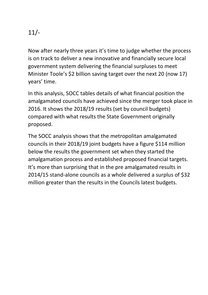Now after nearly three years it's time to judge whether the process is on track to deliver a new innovative and financially secure local government system delivering the financial surpluses to meet Minister Toole's \$2 billion saving target over the next 20 (now 17) years' time.

In this analysis, SOCC tables details of what financial position the amalgamated councils have achieved since the merger took place in 2016. It shows the 2018/19 results (set by council budgets) compared with what results the State Government originally proposed.

The SOCC analysis shows that the metropolitan amalgamated councils in their 2018/19 joint budgets have a figure \$114 million below the results the government set when they started the amalgamation process and established proposed financial targets. It's more than surprising that in the pre amalgamated results in 2014/15 stand-alone councils as a whole delivered a surplus of \$32 million greater than the results in the Councils latest budgets.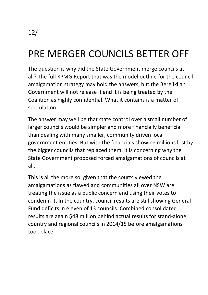### PRE MERGER COUNCILS BETTER OFF

The question is why did the State Government merge councils at all? The full KPMG Report that was the model outline for the council amalgamation strategy may hold the answers, but the Berejiklian Government will not release it and it is being treated by the Coalition as highly confidential. What it contains is a matter of speculation.

The answer may well be that state control over a small number of larger councils would be simpler and more financially beneficial than dealing with many smaller, community driven local government entities. But with the financials showing millions lost by the bigger councils that replaced them, it is concerning why the State Government proposed forced amalgamations of councils at all.

This is all the more so, given that the courts viewed the amalgamations as flawed and communities all over NSW are treating the issue as a public concern and using their votes to condemn it. In the country, council results are still showing General Fund deficits in eleven of 13 councils. Combined consolidated results are again \$48 million behind actual results for stand-alone country and regional councils in 2014/15 before amalgamations took place.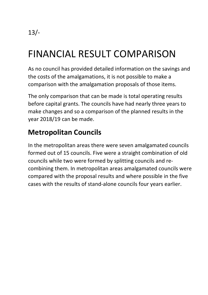### FINANCIAL RESULT COMPARISON

As no council has provided detailed information on the savings and the costs of the amalgamations, it is not possible to make a comparison with the amalgamation proposals of those items.

The only comparison that can be made is total operating results before capital grants. The councils have had nearly three years to make changes and so a comparison of the planned results in the year 2018/19 can be made.

#### **Metropolitan Councils**

In the metropolitan areas there were seven amalgamated councils formed out of 15 councils. Five were a straight combination of old councils while two were formed by splitting councils and recombining them. In metropolitan areas amalgamated councils were compared with the proposal results and where possible in the five cases with the results of stand-alone councils four years earlier.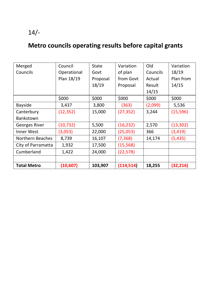### **Metro councils operating results before capital grants**

| Merged             | Council     | State    | Variation  | Old      | Variation |
|--------------------|-------------|----------|------------|----------|-----------|
| Councils           | Operational | Govt     | of plan    | Councils | 18/19     |
|                    | Plan 18/19  | Proposal | from Govt  | Actual   | Plan from |
|                    |             | 18/19    | Proposal   | Result   | 14/15     |
|                    |             |          |            | 14/15    |           |
|                    | \$000       | \$000    | \$000      | \$000    | \$000     |
| <b>Bayside</b>     | 3,437       | 3,800    | (363)      | (2,099)  | 5,536     |
| Canterbury         | (12, 352)   | 15,000   | (27, 352)  | 3,244    | (15, 596) |
| Bankstown          |             |          |            |          |           |
| Georges River      | (10, 732)   | 5,500    | (16, 232)  | 2,570    | (13, 302) |
| Inner West         | (3,053)     | 22,000   | (25,053)   | 366      | (3, 419)  |
| Northern Beaches   | 8,739       | 16,107   | (7, 368)   | 14,174   | (5, 435)  |
| City of Parramatta | 1,932       | 17,500   | (15, 568)  |          |           |
| Cumberland         | 1,422       | 24,000   | (22, 578)  |          |           |
|                    |             |          |            |          |           |
| <b>Total Metro</b> | (10, 607)   | 103,907  | (114, 514) | 18,255   | (32, 216) |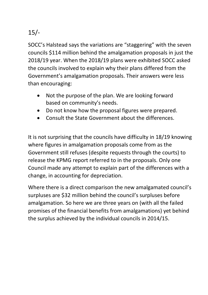SOCC's Halstead says the variations are "staggering" with the seven councils \$114 million behind the amalgamation proposals in just the 2018/19 year. When the 2018/19 plans were exhibited SOCC asked the councils involved to explain why their plans differed from the Government's amalgamation proposals. Their answers were less than encouraging:

- Not the purpose of the plan. We are looking forward based on community's needs.
- Do not know how the proposal figures were prepared.
- Consult the State Government about the differences.

It is not surprising that the councils have difficulty in 18/19 knowing where figures in amalgamation proposals come from as the Government still refuses (despite requests through the courts) to release the KPMG report referred to in the proposals. Only one Council made any attempt to explain part of the differences with a change, in accounting for depreciation.

Where there is a direct comparison the new amalgamated council's surpluses are \$32 million behind the council's surpluses before amalgamation. So here we are three years on (with all the failed promises of the financial benefits from amalgamations) yet behind the surplus achieved by the individual councils in 2014/15.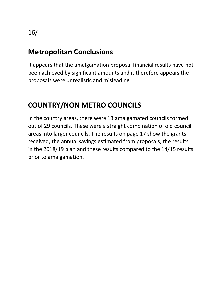#### **Metropolitan Conclusions**

It appears that the amalgamation proposal financial results have not been achieved by significant amounts and it therefore appears the proposals were unrealistic and misleading.

#### **COUNTRY/NON METRO COUNCILS**

In the country areas, there were 13 amalgamated councils formed out of 29 councils. These were a straight combination of old council areas into larger councils. The results on page 17 show the grants received, the annual savings estimated from proposals, the results in the 2018/19 plan and these results compared to the 14/15 results prior to amalgamation.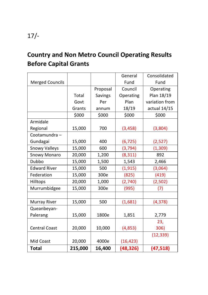#### **Country and Non Metro Council Operating Results Before Capital Grants**

|                        |         |          | General   | Consolidated   |
|------------------------|---------|----------|-----------|----------------|
| <b>Merged Councils</b> |         |          | Fund      | Fund           |
|                        |         | Proposal | Council   | Operating      |
|                        | Total   | Savings  | Operating | Plan 18/19     |
|                        | Govt    | Per      | Plan      | variation from |
|                        | Grants  | annum    | 18/19     | actual 14/15   |
|                        | \$000   | \$000    | \$000     | \$000          |
| Armidale               |         |          |           |                |
| Regional               | 15,000  | 700      | (3, 458)  | (3,804)        |
| Cootamundra-           |         |          |           |                |
| Gundagai               | 15,000  | 400      | (6, 725)  | (2,527)        |
| <b>Snowy Valleys</b>   | 15,000  | 600      | (3, 794)  | (1, 309)       |
| Snowy Monaro           | 20,000  | 1,200    | (8, 311)  | 892            |
| Dubbo                  | 15,000  | 1,500    | 1,543     | 2,466          |
| <b>Edward River</b>    | 15,000  | 500      | (1, 915)  | (3,064)        |
| Federation             | 15,000  | 300e     | (825)     | (419)          |
| Hilltops               | 20,000  | 1,000    | (2,740)   | (2,502)        |
| Murrumbidgee           | 15,000  | 300e     | (995)     | (7)            |
|                        |         |          |           |                |
| Murray River           | 15,000  | 500      | (1,681)   | (4, 378)       |
| Queanbeyan-            |         |          |           |                |
| Palerang               | 15,000  | 1800e    | 1,851     | 2,779          |
|                        |         |          |           | 23,            |
| <b>Central Coast</b>   | 20,000  | 10,000   | (4, 853)  | 306)           |
|                        |         |          |           | (12, 339)      |
| Mid Coast              | 20,000  | 4000e    | (16, 423) |                |
| <b>Total</b>           | 215,000 | 16,400   | (48, 326) | (47, 518)      |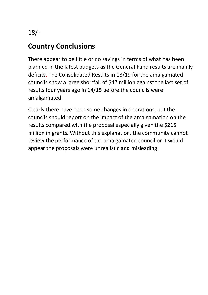#### **Country Conclusions**

There appear to be little or no savings in terms of what has been planned in the latest budgets as the General Fund results are mainly deficits. The Consolidated Results in 18/19 for the amalgamated councils show a large shortfall of \$47 million against the last set of results four years ago in 14/15 before the councils were amalgamated.

Clearly there have been some changes in operations, but the councils should report on the impact of the amalgamation on the results compared with the proposal especially given the \$215 million in grants. Without this explanation, the community cannot review the performance of the amalgamated council or it would appear the proposals were unrealistic and misleading.